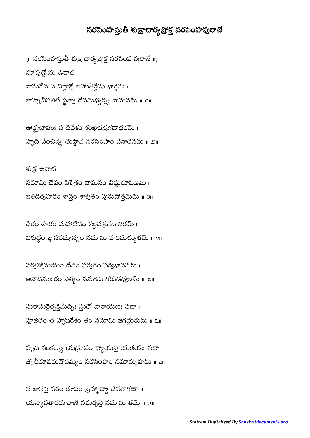## నరసింహస్తుతీ శుక్రాచార్యప్రోక్త నరసింహపురాణే

{॥ నరసింహస్తుతీ శుక్రాచార్య ప్రోక్త నరసింహపురాణే ॥} మార్కణ్ణేయ ఉవాచ వామనేన స విధ్ధాక్షో బహుతిర్థేషు భార్గవః । జాహ్న వీసలిలే స్థిత్యా దేవమభ్యర్భ్య వామనమ్ ॥ ౧॥

ఊర్ధ్యబాహుః స దేవేశం శంఖచక్రగదాధరమ్ । హృది సంచిన్య తుష్టావ నరసింహం సనాతనమ్ ॥ ౨॥

శుక్ర, ఉవాచ నమామి దేవం విశ్వేశం వామనం విష్ణురూపిణమ్ । బలిదర్శహరం శాన్హం శాశ్వతం పురుషోత్తమమ్ ॥ 3॥

ధీరం శూరం మహాదేవం శజ్జచక్రగదాధరమ్ । విశుద్ధం జ్ఞానసమ్పన్నం నమామి హరిమచ్యుతమ్ ॥ ९॥  $\overline{\phantom{a}}$ 

సర్వశక్తిమయం దేవం సర్వగం సర్వభావనమ్ । అనాదిమజరం నిత్యం నమామి గరుడధ్యజమ్ ॥ ౫॥

సురాసురైర్బక్తిమద్బిః స్తుతో నారాయణః సదా। పూజితం చ హృషీకేశం తం నమామి జగద్గురుమ్ ॥ ౬॥

హృది సంకల్య్య యద్రూపం ధ్యాయన్తి యతయః సదా। జ్యోతీరూపమనౌపమ్యం నరసింహం నమామ్య హమ్ ॥ a॥

న జానన్తి పరం రూపం బ్రహ్మాద్యా దేవతాగణాః । యస్యావతారరూపాణి సమర్చన్తి నమామి తమ్ ॥ ౮॥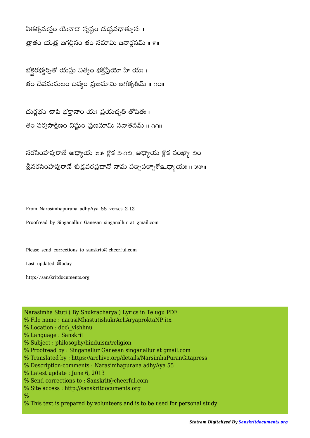ఏతత్సమస్తం యేనాదౌ సృష్టం దుష్టవధాత్పునః । త్రాతం యత్ర జగల్లీనం తం నమామి జనార్గనమ్ ॥ ౯॥

భక్తెరభ్యర్చితో యస్తు నిత్యం భక్తప్రియో హి యః । తం దేవమమలం దివ్యం ప్రణమామి జగత్పతిమ్ ॥ ∩౦॥

దురభం చాపి భకానాం యః ప్రయచ్చతి తోషితః। తం సర్వసాక్షిణం విష్ణుం ప్రణమామి సనాతనమ్ ॥ ౧౧॥

నరసింహపురాణే అధ్యాయ ౫౫ శ్లోక ౨-౧౨, అధ్యాయ శ్లోక సంఖ్యా ౨ం శ్రీనరసింహపురాణే శుక్రవరప్రదానో నామ పఙృపఞృశో உధ్యాయః ॥ ౫౫॥

From Narasimhapurana adhyAya 55 verses 2-12

Proofread by Singanallur Ganesan singanallur at gmail.com

Please send corrections to sanskrit@cheerful.com

Last updated  $\bar{\mathfrak{G}}$ oday

http://sanskritdocuments.org

Narasimha Stuti ( By Shukracharya ) Lyrics in Telugu PDF % File name : narasiMhastutishukrAchAryaproktaNP.itx % Location : doc\ vishhnu % Language : Sanskrit % Subject : philosophy/hinduism/religion % Proofread by : Singanallur Ganesan singanallur at gmail.com % Translated by : https://archive.org/details/NarsimhaPuranGitapress % Description-comments : Narasimhapurana adhyAya 55 % Latest update : June 6, 2013 % Send corrections to : Sanskrit@cheerful.com % Site access : http://sanskritdocuments.org

 $\frac{0}{0}$ 

% This text is prepared by volunteers and is to be used for personal study